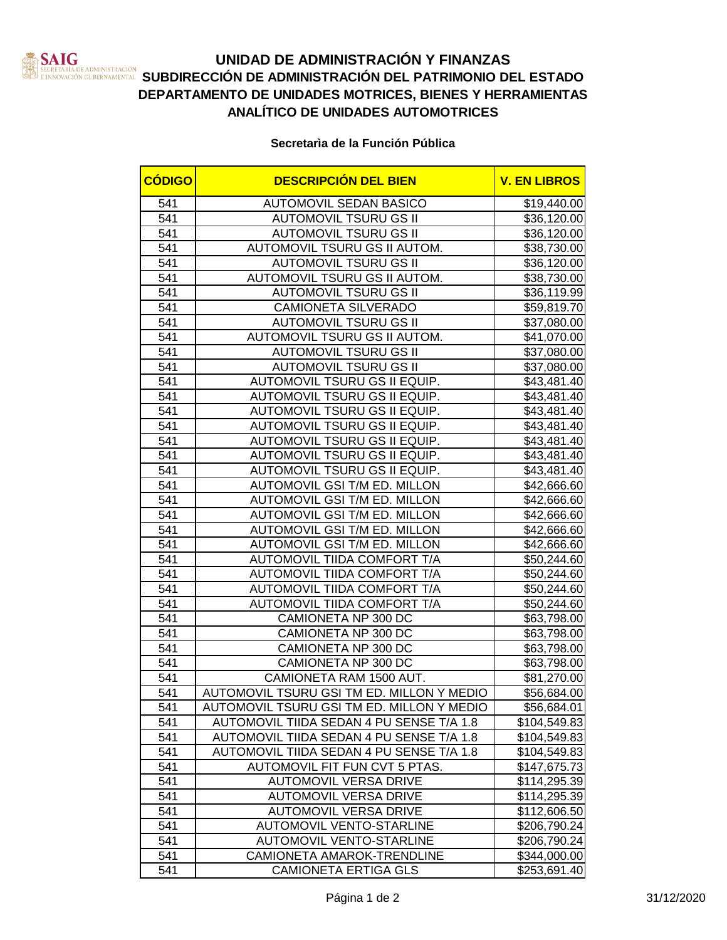

## **UNIDAD DE ADMINISTRACIÓN Y FINANZAS SUBDIRECCIÓN DE ADMINISTRACIÓN DEL PATRIMONIO DEL ESTADO**<br>INNOVACIÓN CUBERNAMENTAL **SUBDIRECCIÓN DE ADMINISTRACIÓN DEL PATRIMONIO DEL ESTADO DEPARTAMENTO DE UNIDADES MOTRICES, BIENES Y HERRAMIENTAS ANALÍTICO DE UNIDADES AUTOMOTRICES**

**Secretarìa de la Función Pública**

| <b>CÓDIGO</b>    | <b>DESCRIPCIÓN DEL BIEN</b>               | <b>V. EN LIBROS</b> |
|------------------|-------------------------------------------|---------------------|
| 541              | <b>AUTOMOVIL SEDAN BASICO</b>             | \$19,440.00         |
| 541              | <b>AUTOMOVIL TSURU GS II</b>              | \$36,120.00         |
| 541              | <b>AUTOMOVIL TSURU GS II</b>              | \$36,120.00         |
| 541              | AUTOMOVIL TSURU GS II AUTOM.              | \$38,730.00         |
| 541              | <b>AUTOMOVIL TSURU GS II</b>              | \$36,120.00         |
| 541              | AUTOMOVIL TSURU GS II AUTOM.              | \$38,730.00         |
| $\overline{541}$ | <b>AUTOMOVIL TSURU GS II</b>              | \$36,119.99         |
| 541              | <b>CAMIONETA SILVERADO</b>                | \$59,819.70         |
| 541              | <b>AUTOMOVIL TSURU GS II</b>              | \$37,080.00         |
| 541              | AUTOMOVIL TSURU GS II AUTOM.              | \$41,070.00         |
| 541              | <b>AUTOMOVIL TSURU GS II</b>              | \$37,080.00         |
| 541              | <b>AUTOMOVIL TSURU GS II</b>              | \$37,080.00         |
| 541              | AUTOMOVIL TSURU GS II EQUIP.              | \$43,481.40         |
| 541              | AUTOMOVIL TSURU GS II EQUIP.              | \$43,481.40         |
| 541              | AUTOMOVIL TSURU GS II EQUIP.              | \$43,481.40         |
| 541              | AUTOMOVIL TSURU GS II EQUIP.              | \$43,481.40         |
| 541              | AUTOMOVIL TSURU GS II EQUIP.              | \$43,481.40         |
| 541              | AUTOMOVIL TSURU GS II EQUIP.              | \$43,481.40         |
| 541              | AUTOMOVIL TSURU GS II EQUIP.              | \$43,481.40         |
| 541              | AUTOMOVIL GSI T/M ED. MILLON              | \$42,666.60         |
| 541              | AUTOMOVIL GSI T/M ED. MILLON              | \$42,666.60         |
| 541              | AUTOMOVIL GSI T/M ED. MILLON              | \$42,666.60         |
| 541              | AUTOMOVIL GSI T/M ED. MILLON              | \$42,666.60         |
| 541              | AUTOMOVIL GSI T/M ED. MILLON              | \$42,666.60         |
| 541              | AUTOMOVIL TIIDA COMFORT T/A               | \$50,244.60         |
| 541              | AUTOMOVIL TIIDA COMFORT T/A               | \$50,244.60         |
| 541              | AUTOMOVIL TIIDA COMFORT T/A               | \$50,244.60         |
| 541              | AUTOMOVIL TIIDA COMFORT T/A               | \$50,244.60         |
| $\overline{541}$ | CAMIONETA NP 300 DC                       | \$63,798.00         |
| 541              | CAMIONETA NP 300 DC                       | \$63,798.00         |
| 541              | CAMIONETA NP 300 DC                       | \$63,798.00         |
| 541              | <b>CAMIONETA NP 300 DC</b>                | \$63,798.00         |
| 541              | CAMIONETA RAM 1500 AUT.                   | \$81,270.00         |
| 541              | AUTOMOVIL TSURU GSI TM ED. MILLON Y MEDIO | \$56,684.00         |
| 541              | AUTOMOVIL TSURU GSI TM ED. MILLON Y MEDIO | \$56,684.01         |
| 541              | AUTOMOVIL TIIDA SEDAN 4 PU SENSE T/A 1.8  | \$104,549.83        |
| 541              | AUTOMOVIL TIIDA SEDAN 4 PU SENSE T/A 1.8  | \$104,549.83        |
| 541              | AUTOMOVIL TIIDA SEDAN 4 PU SENSE T/A 1.8  | \$104,549.83        |
| 541              | AUTOMOVIL FIT FUN CVT 5 PTAS.             | \$147,675.73        |
| 541              | <b>AUTOMOVIL VERSA DRIVE</b>              | \$114,295.39        |
| 541              | <b>AUTOMOVIL VERSA DRIVE</b>              | \$114,295.39        |
| 541              | <b>AUTOMOVIL VERSA DRIVE</b>              | \$112,606.50        |
| 541              | AUTOMOVIL VENTO-STARLINE                  | \$206,790.24        |
| 541              | <b>AUTOMOVIL VENTO-STARLINE</b>           | \$206,790.24        |
| 541              | CAMIONETA AMAROK-TRENDLINE                | \$344,000.00        |
| 541              | <b>CAMIONETA ERTIGA GLS</b>               | \$253,691.40        |